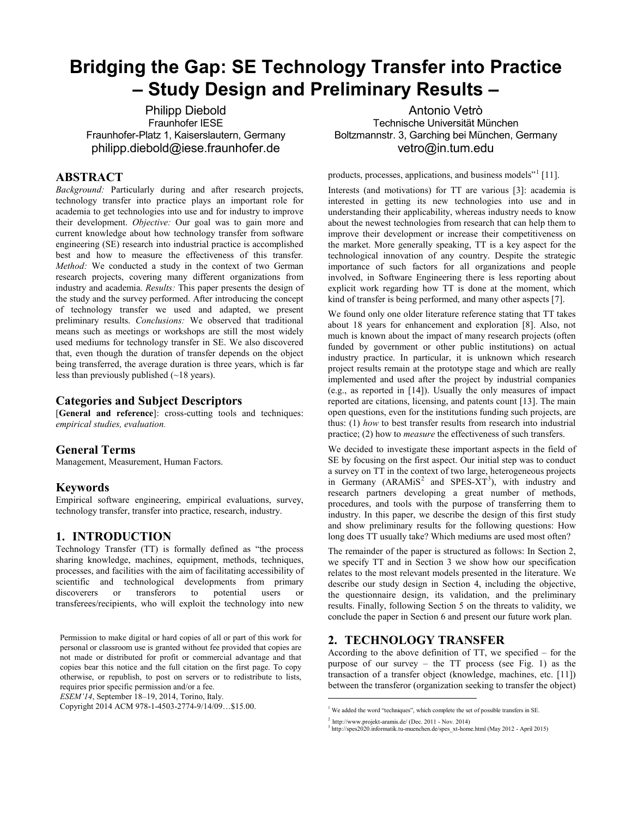# **Bridging the Gap: SE Technology Transfer into Practice – Study Design and Preliminary Results –**

Philipp Diebold Fraunhofer IESE Fraunhofer-Platz 1, Kaiserslautern, Germany philipp.diebold@iese.fraunhofer.de

## **ABSTRACT**

*Background:* Particularly during and after research projects, technology transfer into practice plays an important role for academia to get technologies into use and for industry to improve their development. *Objective:* Our goal was to gain more and current knowledge about how technology transfer from software engineering (SE) research into industrial practice is accomplished best and how to measure the effectiveness of this transfer*. Method:* We conducted a study in the context of two German research projects, covering many different organizations from industry and academia. *Results:* This paper presents the design of the study and the survey performed. After introducing the concept of technology transfer we used and adapted, we present preliminary results. *Conclusions:* We observed that traditional means such as meetings or workshops are still the most widely used mediums for technology transfer in SE. We also discovered that, even though the duration of transfer depends on the object being transferred, the average duration is three years, which is far less than previously published (~18 years).

## **Categories and Subject Descriptors**

[**General and reference**]: cross-cutting tools and techniques: *empirical studies, evaluation.* 

#### **General Terms**

Management, Measurement, Human Factors.

#### **Keywords**

Empirical software engineering, empirical evaluations, survey, technology transfer, transfer into practice, research, industry.

## **1. INTRODUCTION**

Technology Transfer (TT) is formally defined as "the process sharing knowledge, machines, equipment, methods, techniques, processes, and facilities with the aim of facilitating accessibility of scientific and technological developments from primary discoverers or transferors to potential users or transferees/recipients, who will exploit the technology into new

Permission to make digital or hard copies of all or part of this work for personal or classroom use is granted without fee provided that copies are not made or distributed for profit or commercial advantage and that copies bear this notice and the full citation on the first page. To copy otherwise, or republish, to post on servers or to redistribute to lists, requires prior specific permission and/or a fee.

*ESEM'14*, September 18–19, 2014, Torino, Italy.

<span id="page-0-2"></span><span id="page-0-1"></span><span id="page-0-0"></span>Copyright 2014 ACM 978-1-4503-2774-9/14/09…\$15.00.

Antonio Vetrò Technische Universität München Boltzmannstr. 3, Garching bei München, Germany vetro@in.tum.edu

products, processes, applications, and business models<sup>"[1](#page-0-0)</sup> [\[11\].](#page-3-0)

Interests (and motivations) for TT are various [3]: academia is interested in getting its new technologies into use and in understanding their applicability, whereas industry needs to know about the newest technologies from research that can help them to improve their development or increase their competitiveness on the market. More generally speaking, TT is a key aspect for the technological innovation of any country. Despite the strategic importance of such factors for all organizations and people involved, in Software Engineering there is less reporting about explicit work regarding how TT is done at the moment, which kind of transfer is being performed, and many other aspects [\[7\].](#page-3-1)

We found only one older literature reference stating that TT takes about 18 years for enhancement and exploration [\[8\].](#page-3-2) Also, not much is known about the impact of many research projects (often funded by government or other public institutions) on actual industry practice. In particular, it is unknown which research project results remain at the prototype stage and which are really implemented and used after the project by industrial companies (e.g., as reported in [14]). Usually the only measures of impact reported are citations, licensing, and patents count [13]. The main open questions, even for the institutions funding such projects, are thus: (1) *how* to best transfer results from research into industrial practice; (2) how to *measure* the effectiveness of such transfers.

We decided to investigate these important aspects in the field of SE by focusing on the first aspect. Our initial step was to conduct a survey on TT in the context of two large, heterogeneous projects in Germany  $(ARAMiS<sup>2</sup>$  $(ARAMiS<sup>2</sup>$  $(ARAMiS<sup>2</sup>$  and SPES-XT<sup>[3](#page-0-2)</sup>), with industry and research partners developing a great number of methods, procedures, and tools with the purpose of transferring them to industry. In this paper, we describe the design of this first study and show preliminary results for the following questions: How long does TT usually take? Which mediums are used most often?

The remainder of the paper is structured as follows: In Section 2, we specify TT and in Section 3 we show how our specification relates to the most relevant models presented in the literature. We describe our study design in Section 4, including the objective, the questionnaire design, its validation, and the preliminary results. Finally, following Section 5 on the threats to validity, we conclude the paper in Section 6 and present our future work plan.

# **2. TECHNOLOGY TRANSFER**

According to the above definition of TT, we specified – for the purpose of our survey – the TT process (see Fig. 1) as the transaction of a transfer object (knowledge, machines, etc. [\[11\]\)](#page-3-0) between the transferor (organization seeking to transfer the object)

1

<sup>&</sup>lt;sup>1</sup> We added the word "techniques", which complete the set of possible transfers in SE.

<sup>&</sup>lt;sup>2</sup> <http://www.projekt-aramis.de/> (Dec. 2011 - Nov. 2014)<br><sup>3</sup> [http://spes2020.informatik.tu-muenchen.de/spes\\_xt-home.html](http://spes2020.informatik.tu-muenchen.de/spes_xt-home.html) (May 2012 - April 2015)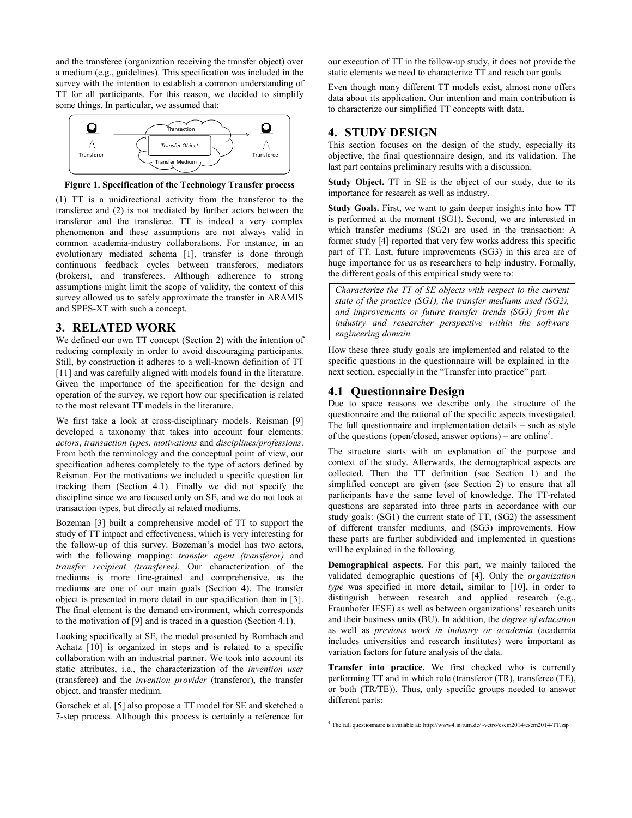and the transferee (organization receiving the transfer object) over a medium (e.g., guidelines). This specification was included in the survey with the intention to establish a common understanding of TT for all participants. For this reason, we decided to simplify some things. In particular, we assumed that:



**Figure 1. Specification of the Technology Transfer process**

(1) TT is a unidirectional activity from the transferor to the transferee and (2) is not mediated by further actors between the transferor and the transferee. TT is indeed a very complex phenomenon and these assumptions are not always valid in common academia-industry collaborations. For instance, in an evolutionary mediated schema [\[1\],](#page-3-3) transfer is done through continuous feedback cycles between transferors, mediators (brokers), and transferees. Although adherence to strong assumptions might limit the scope of validity, the context of this survey allowed us to safely approximate the transfer in ARAMIS and SPES-XT with such a concept.

#### **3. RELATED WORK**

We defined our own TT concept (Section 2) with the intention of reducing complexity in order to avoid discouraging participants. Still, by construction it adheres to a well-known definition of TT [\[11\]](#page-3-0) and was carefully aligned with models found in the literature. Given the importance of the specification for the design and operation of the survey, we report how our specification is related to the most relevant TT models in the literature.

We first take a look at cross-disciplinary models. Reisman [\[9\]](#page-3-4) developed a taxonomy that takes into account four elements: *actors*, *transaction types*, *motivations* and *disciplines/professions*. From both the terminology and the conceptual point of view, our specification adheres completely to the type of actors defined by Reisman. For the motivations we included a specific question for tracking them (Section [4.1\)](#page-1-0). Finally we did not specify the discipline since we are focused only on SE, and we do not look at transaction types, but directly at related mediums.

Bozeman [\[3\]](#page-3-5) built a comprehensive model of TT to support the study of TT impact and effectiveness, which is very interesting for the follow-up of this survey. Bozeman's model has two actors, with the following mapping: *transfer agent (transferor)* and *transfer recipient (transferee)*. Our characterization of the mediums is more fine-grained and comprehensive, as the mediums are one of our main goals (Section 4). The transfer object is presented in more detail in our specification than in [\[3\].](#page-3-5) The final element is the demand environment, which corresponds to the motivation o[f \[9\]](#page-3-4) and is traced in a question (Sectio[n 4.1\)](#page-1-0).

Looking specifically at SE, the model presented by Rombach and Achatz [\[10\]](#page-3-6) is organized in steps and is related to a specific collaboration with an industrial partner. We took into account its static attributes, i.e., the characterization of the *invention user* (transferee) and the *invention provider* (transferor), the transfer object, and transfer medium.

<span id="page-1-1"></span>Gorschek et al. [\[5\]](#page-3-7) also propose a TT model for SE and sketched a 7-step process. Although this process is certainly a reference for

our execution of TT in the follow-up study, it does not provide the static elements we need to characterize TT and reach our goals.

Even though many different TT models exist, almost none offers data about its application. Our intention and main contribution is to characterize our simplified TT concepts with data.

## **4. STUDY DESIGN**

This section focuses on the design of the study, especially its objective, the final questionnaire design, and its validation. The last part contains preliminary results with a discussion.

**Study Object.** TT in SE is the object of our study, due to its importance for research as well as industry.

**Study Goals.** First, we want to gain deeper insights into how TT is performed at the moment (SG1). Second, we are interested in which transfer mediums (SG2) are used in the transaction: A former stud[y \[4\]](#page-3-8) reported that very few works address this specific part of TT. Last, future improvements (SG3) in this area are of huge importance for us as researchers to help industry. Formally, the different goals of this empirical study were to:

*Characterize the TT of SE objects with respect to the current state of the practice (SG1), the transfer mediums used (SG2), and improvements or future transfer trends (SG3) from the industry and researcher perspective within the software engineering domain.*

How these three study goals are implemented and related to the specific questions in the questionnaire will be explained in the next section, especially in the "Transfer into practice" part.

## <span id="page-1-0"></span>**4.1 Questionnaire Design**

Due to space reasons we describe only the structure of the questionnaire and the rational of the specific aspects investigated. The full questionnaire and implementation details – such as style of the questions (open/closed, answer options) – are online<sup>[4](#page-1-1)</sup>.

The structure starts with an explanation of the purpose and context of the study. Afterwards, the demographical aspects are collected. Then the TT definition (see Section 1) and the simplified concept are given (see Section 2) to ensure that all participants have the same level of knowledge. The TT-related questions are separated into three parts in accordance with our study goals: (SG1) the current state of TT, (SG2) the assessment of different transfer mediums, and (SG3) improvements. How these parts are further subdivided and implemented in questions will be explained in the following.

**Demographical aspects.** For this part, we mainly tailored the validated demographic questions of [\[4\].](#page-3-8) Only the *organization type* was specified in more detail, similar to [\[10\],](#page-3-6) in order to distinguish between research and applied research (e.g., Fraunhofer IESE) as well as between organizations' research units and their business units (BU). In addition, the *degree of education* as well as *previous work in industry or academia* (academia includes universities and research institutes) were important as variation factors for future analysis of the data.

**Transfer into practice.** We first checked who is currently performing TT and in which role (transferor (TR), transferee (TE), or both (TR/TE)). Thus, only specific groups needed to answer different parts:

1

<sup>4</sup> The full questionnaire is available at: http://www4.in.tum.de/~vetro/esem2014/esem2014-TT.zip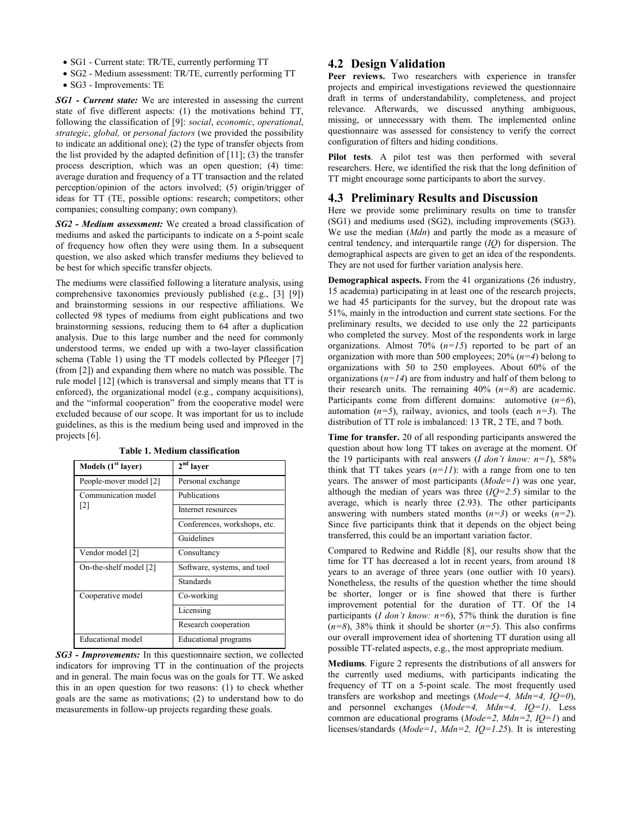- SG1 Current state: TR/TE, currently performing TT
- SG2 Medium assessment: TR/TE, currently performing TT
- SG3 Improvements: TE

*SG1 - Current state:* We are interested in assessing the current state of five different aspects: (1) the motivations behind TT, following the classification of [\[9\]:](#page-3-4) *social*, *economic*, *operational*, *strategic*, *global,* or *personal factors* (we provided the possibility to indicate an additional one); (2) the type of transfer objects from the list provided by the adapted definition of  $[11]$ ; (3) the transfer process description, which was an open question; (4) time: average duration and frequency of a TT transaction and the related perception/opinion of the actors involved; (5) origin/trigger of ideas for TT (TE, possible options: research; competitors; other companies; consulting company; own company).

*SG2 - Medium assessment:* We created a broad classification of mediums and asked the participants to indicate on a 5-point scale of frequency how often they were using them. In a subsequent question, we also asked which transfer mediums they believed to be best for which specific transfer objects.

The mediums were classified following a literature analysis, using comprehensive taxonomies previously published (e.g., [\[3\]](#page-3-5) [\[9\]\)](#page-3-4) and brainstorming sessions in our respective affiliations. We collected 98 types of mediums from eight publications and two brainstorming sessions, reducing them to 64 after a duplication analysis. Due to this large number and the need for commonly understood terms, we ended up with a two-layer classification schema [\(Table 1\)](#page-2-0) using the TT models collected by Pfleeger [\[7\]](#page-3-1) (from [\[2\]\)](#page-3-9) and expanding them where no match was possible. The rule mode[l \[12\]](#page-3-10) (which is transversal and simply means that TT is enforced), the organizational model (e.g., company acquisitions), and the "informal cooperation" from the cooperative model were excluded because of our scope. It was important for us to include guidelines, as this is the medium being used and improved in the projects [\[6\].](#page-3-11)

<span id="page-2-0"></span>

| Models (1 <sup>st</sup> layer)           | $2nd$ layer                  |
|------------------------------------------|------------------------------|
| People-mover model [2]                   | Personal exchange            |
| Communication model<br>$\lceil 2 \rceil$ | Publications                 |
|                                          | Internet resources           |
|                                          | Conferences, workshops, etc. |
|                                          | Guidelines                   |
| Vendor model [2]                         | Consultancy                  |
| On-the-shelf model [2]                   | Software, systems, and tool  |
|                                          | Standards                    |
| Cooperative model                        | Co-working                   |
|                                          | Licensing                    |
|                                          | Research cooperation         |
| Educational model                        | Educational programs         |

**Table 1. Medium classification**

*SG3 - Improvements:* In this questionnaire section, we collected indicators for improving TT in the continuation of the projects and in general. The main focus was on the goals for TT. We asked this in an open question for two reasons: (1) to check whether goals are the same as motivations; (2) to understand how to do measurements in follow-up projects regarding these goals.

### **4.2 Design Validation**

Peer reviews. Two researchers with experience in transfer projects and empirical investigations reviewed the questionnaire draft in terms of understandability, completeness, and project relevance. Afterwards, we discussed anything ambiguous, missing, or unnecessary with them. The implemented online questionnaire was assessed for consistency to verify the correct configuration of filters and hiding conditions.

**Pilot tests**. A pilot test was then performed with several researchers. Here, we identified the risk that the long definition of TT might encourage some participants to abort the survey.

## **4.3 Preliminary Results and Discussion**

Here we provide some preliminary results on time to transfer (SG1) and mediums used (SG2), including improvements (SG3). We use the median (*Mdn*) and partly the mode as a measure of central tendency, and interquartile range (*IQ*) for dispersion. The demographical aspects are given to get an idea of the respondents. They are not used for further variation analysis here.

**Demographical aspects.** From the 41 organizations (26 industry, 15 academia) participating in at least one of the research projects, we had 45 participants for the survey, but the dropout rate was 51%, mainly in the introduction and current state sections. For the preliminary results, we decided to use only the 22 participants who completed the survey. Most of the respondents work in large organizations. Almost 70% (*n=15*) reported to be part of an organization with more than 500 employees; 20% (*n=4*) belong to organizations with 50 to 250 employees. About 60% of the organizations  $(n=14)$  are from industry and half of them belong to their research units. The remaining 40% (*n=8*) are academic. Participants come from different domains: automotive (*n=6*), automation (*n=5*), railway, avionics, and tools (each *n=3*). The distribution of TT role is imbalanced: 13 TR, 2 TE, and 7 both.

**Time for transfer.** 20 of all responding participants answered the question about how long TT takes on average at the moment. Of the 19 participants with real answers ( $I$  don't know:  $n=1$ ), 58% think that TT takes years  $(n=11)$ : with a range from one to ten years. The answer of most participants (*Mode=1*) was one year, although the median of years was three  $(IQ=2.5)$  similar to the average, which is nearly three (2.93). The other participants answering with numbers stated months (*n=3*) or weeks (*n=2*). Since five participants think that it depends on the object being transferred, this could be an important variation factor.

Compared to Redwine and Riddle [\[8\],](#page-3-2) our results show that the time for TT has decreased a lot in recent years, from around 18 years to an average of three years (one outlier with 10 years). Nonetheless, the results of the question whether the time should be shorter, longer or is fine showed that there is further improvement potential for the duration of TT. Of the 14 participants (*I don't know: n=6*), 57% think the duration is fine  $(n=8)$ , 38% think it should be shorter  $(n=5)$ . This also confirms our overall improvement idea of shortening TT duration using all possible TT-related aspects, e.g., the most appropriate medium.

**Mediums**. [Figure 2](#page-3-12) represents the distributions of all answers for the currently used mediums, with participants indicating the frequency of TT on a 5-point scale. The most frequently used transfers are workshop and meetings (*Mode=4, Mdn=4, IQ=0*), and personnel exchanges (*Mode=4, Mdn=4, IQ=1)*. Less common are educational programs (*Mode=2, Mdn=2, IQ=1*) and licenses/standards (*Mode=1*, *Mdn=2, IQ=1.25*). It is interesting